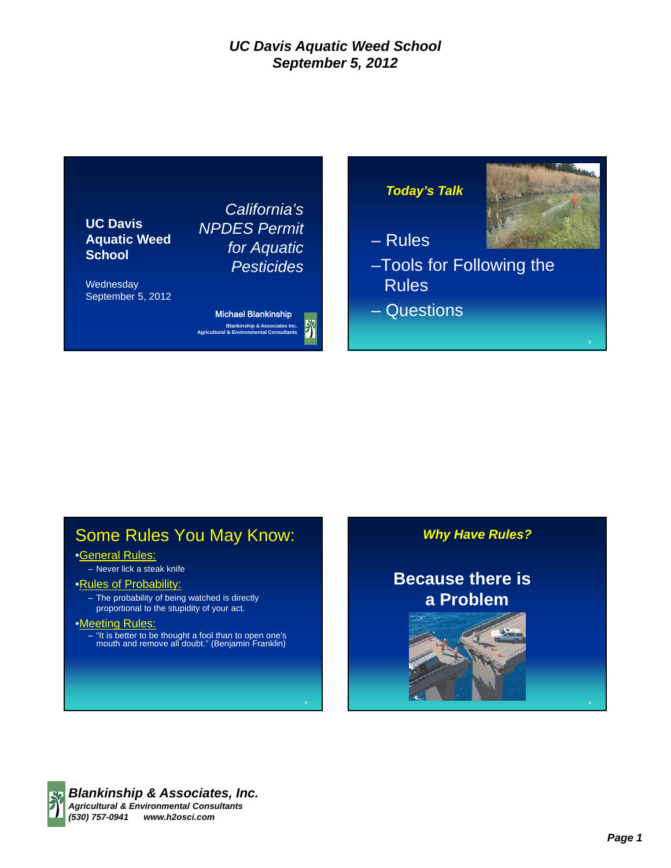

# Some Rules You May Know:

#### •General Rules:

– Never lick a steak knife

#### •Rules of Probability:

– The probability of being watched is directly proportional to the stupidity of your act.

#### •Meeting Rules:

– "It is better to be thought a fool than to open one's mouth and remove all doubt." (Benjamin Franklin)

*Why Have Rules?*

# **Because there is a Problem**



4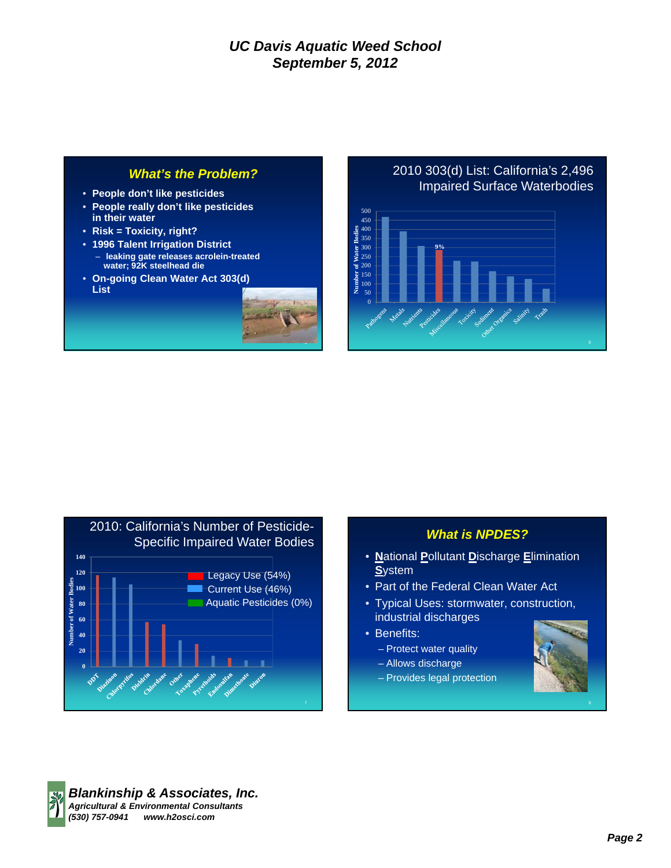#### *What's the Problem?*

- **People don't like pesticides**
- **People really don't like pesticides in their water**
- **Risk = Toxicity, right?**
- **1996 Talent Irrigation District**
- **leaking gate releases acrolein-treated water; 92K steelhead die**
- **On-going Clean Water Act 303(d) List**



#### 2010 303(d) List: California's 2,496 Impaired Surface Waterbodies





#### *What is NPDES?*

- **N**ational **P**ollutant **D**ischarge **E**limination **S**ystem
- Part of the Federal Clean Water Act
- Typical Uses: stormwater, construction, industrial discharges
- Benefits:
	- Protect water quality
	- Allows discharge
	- Provides legal protection



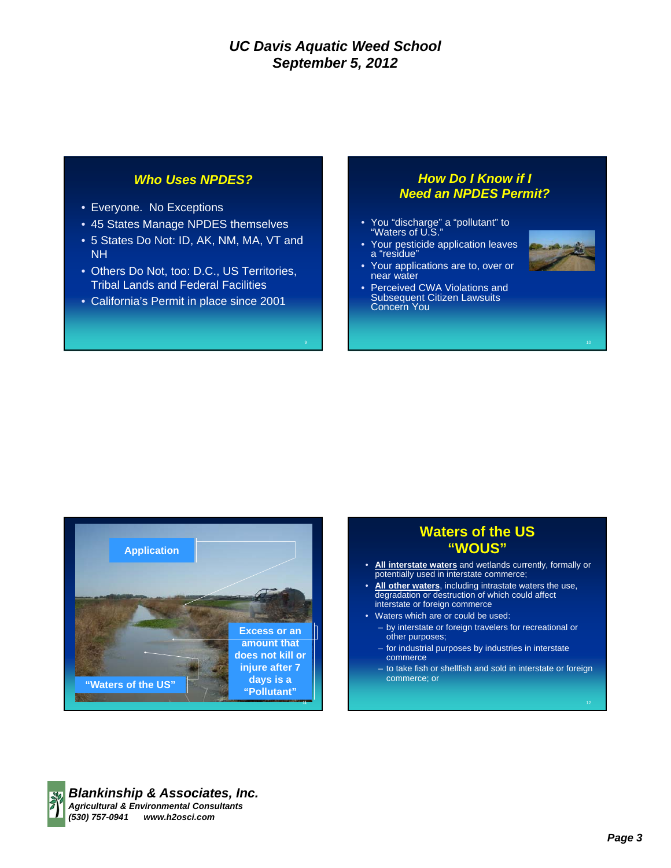#### *Who Uses NPDES?*

- Everyone. No Exceptions
- 45 States Manage NPDES themselves
- 5 States Do Not: ID, AK, NM, MA, VT and NH
- Others Do Not, too: D.C., US Territories, Tribal Lands and Federal Facilities
- California's Permit in place since 2001

#### *How Do I Know if I Need an NPDES Permit?*

- You "discharge" a "pollutant" to "Waters of U.S."
- Your pesticide application leaves a "residue"
- Your applications are to, over or near water
- Perceived CWA Violations and Subsequent Citizen Lawsuits Concern You





### **Waters of the US "WOUS"**

- **All interstate waters** and wetlands currently, formally or potentially used in interstate commerce;
- **All other waters**, including intrastate waters the use, degradation or destruction of which could affect interstate or foreign commerce
- Waters which are or could be used:
	- by interstate or foreign travelers for recreational or other purposes;
	- for industrial purposes by industries in interstate commerce
	- to take fish or shellfish and sold in interstate or foreign commerce; or

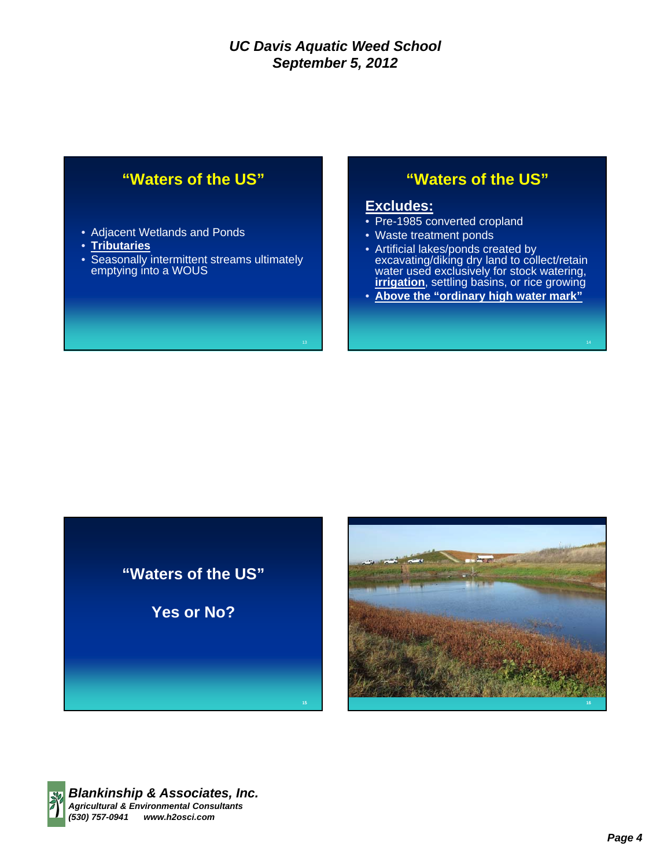## **"Waters of the US"**

- Adjacent Wetlands and Ponds
- **Tributaries**
- Seasonally intermittent streams ultimately emptying into a WOUS

### **"Waters of the US"**

#### **Excludes:**

- Pre-1985 converted cropland
- Waste treatment ponds
- Artificial lakes/ponds created by excavating/diking dry land to collect/retain water used exclusively for stock watering, **irrigation**, settling basins, or rice growing
- **Above the "ordinary high water mark"**

**"Waters of the US"**

**Yes or No?**



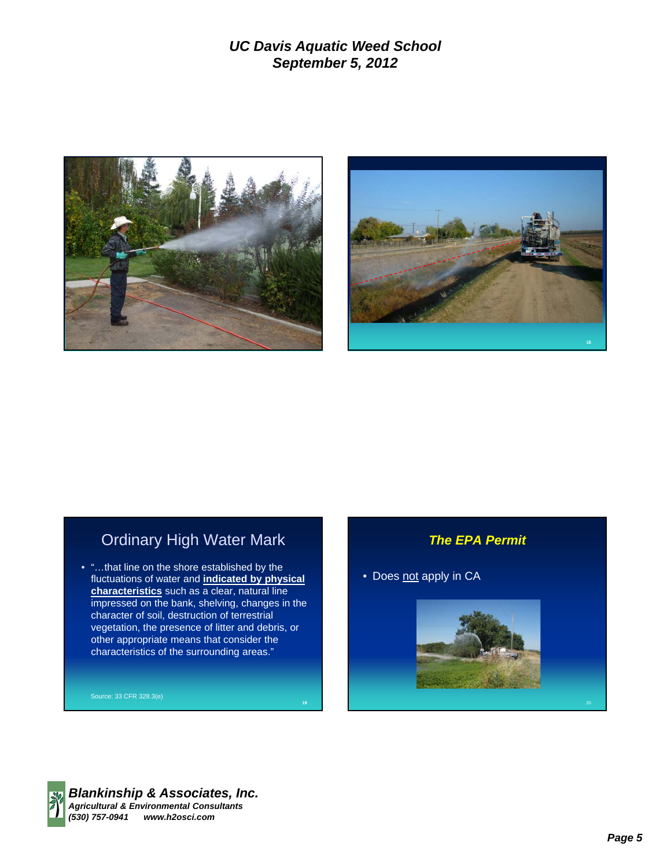



## Ordinary High Water Mark

• "…that line on the shore established by the fluctuations of water and **indicated by physical characteristics** such as a clear, natural line impressed on the bank, shelving, changes in the character of soil, destruction of terrestrial vegetation, the presence of litter and debris, or other appropriate means that consider the characteristics of the surrounding areas."

#### *The EPA Permit*

• Does not apply in CA





*Blankinship & Associates, Inc. Agricultural & Environmental Consultants (530) 757-0941 www.h2osci.com*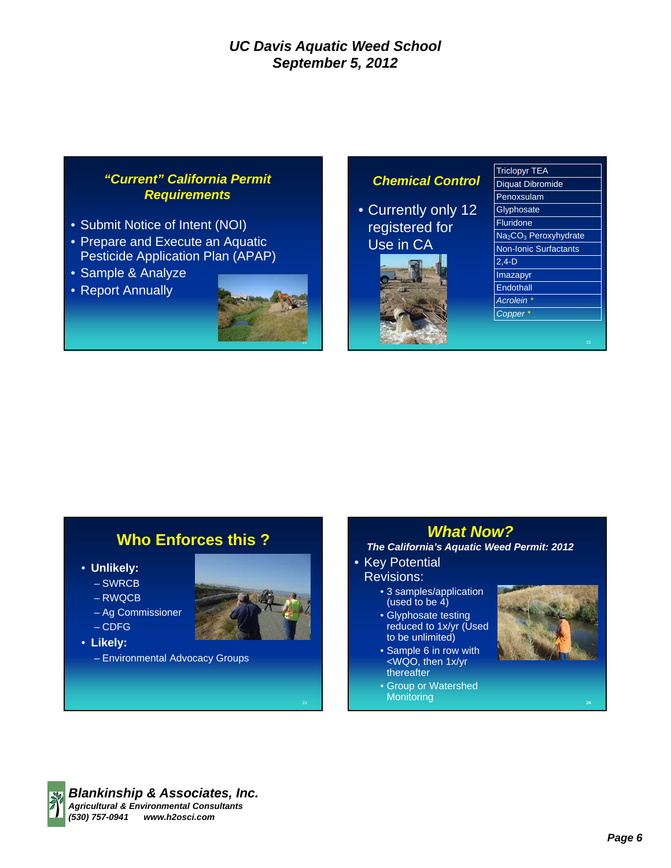#### *"Current" California Permit Requirements*

- Submit Notice of Intent (NOI)
- Prepare and Execute an Aquatic Pesticide Application Plan (APAP)
- Sample & Analyze
- Report Annually



### *Chemical Control*

• Currently only 12 registered for Use in CA



| <b>Triclopyr TEA</b>                          |
|-----------------------------------------------|
| <b>Diquat Dibromide</b>                       |
| Penoxsulam                                    |
| Glyphosate                                    |
| <b>Fluridone</b>                              |
| Na <sub>2</sub> CO <sub>3</sub> Peroxyhydrate |
| <b>Non-Ionic Surfactants</b>                  |
| $2,4-D$                                       |
| Imazapyr                                      |
| Endothall                                     |
| <b>Acrolein</b>                               |
| Copper                                        |
|                                               |

## **Who Enforces this ?**

- **Unlikely:**
	- SWRCB
	- RWQCB
	- Ag Commissioner
	- CDFG
- **Likely:**
	- Environmental Advocacy Groups



- Key Potential Revisions:
	- 3 samples/application (used to be  $4$ )
	- Glyphosate testing reduced to 1x/yr (Used to be unlimited)
	- Sample 6 in row with <WQO, then 1x/yr thereafter
	- Group or Watershed **Monitoring**



24



*Blankinship & Associates, Inc. Agricultural & Environmental Consultants (530) 757-0941 www.h2osci.com*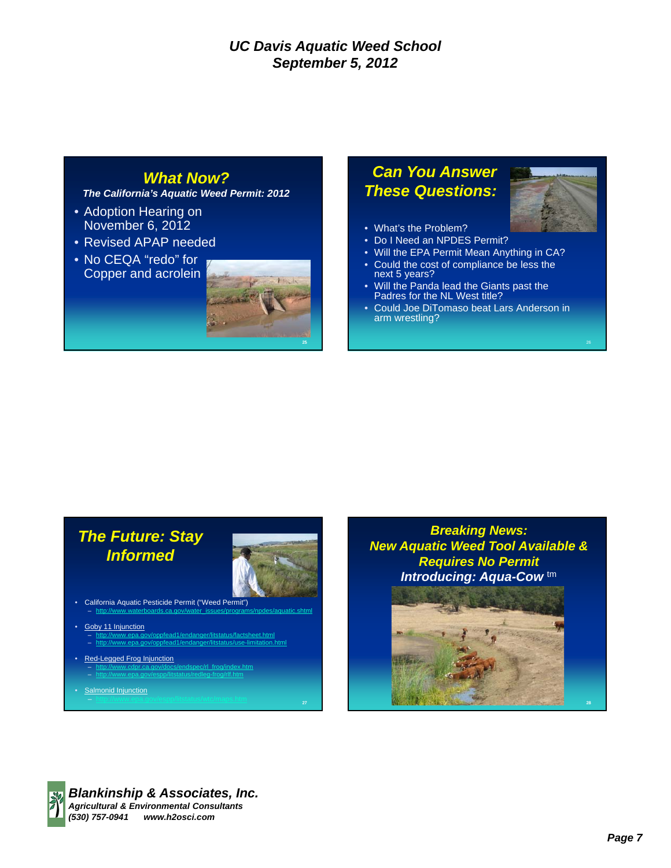### *What Now?*

*The California's Aquatic Weed Permit: 2012*

- Adoption Hearing on November 6, 2012
- Revised APAP needed
- No CEQA "redo" for Copper and acrolein



27

# *Can You Answer These Questions:*



- What's the Problem?
- Do I Need an NPDES Permit?
- Will the EPA Permit Mean Anything in CA?
- Could the cost of compliance be less the next 5 years?
- Will the Panda lead the Giants past the Padres for the NL West title?
- Could Joe DiTomaso beat Lars Anderson in arm wrestling?

# *The Future: Stay Informed*

- California Aquatic Pesticide Permit ("Weed Permit") – http://www.waterboards.ca.gov/water\_issues/programs/npdes/aquatic.shtml
- Goby 11 Injunction
	- http://www.epa.gov/oppfead1/endanger/litstatus/factsheet.html – http://www.epa.gov/oppfead1/endanger/litstatus/use-limitation.html
- **Red-Legged Frog Injunction** 
	- http://www.cdpr.ca.gov/docs/endspec/rl\_frog/index.htm – http://www.epa.gov/espp/litstatus/redleg-frog/rlf.htm
- **Salmonid Injunction**

*Breaking News: New Aquatic Weed Tool Available & Requires No Permit Introducing: Aqua-Cow* tm